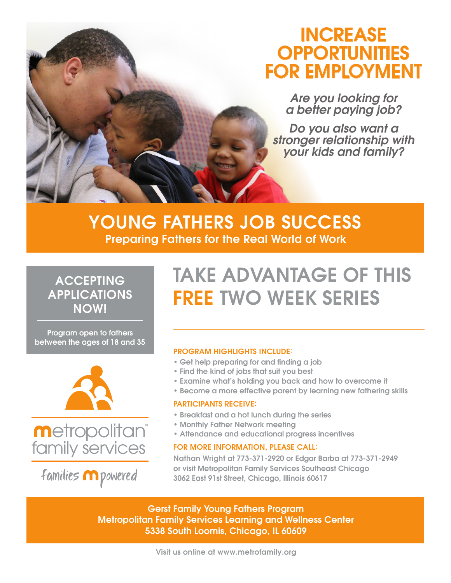# INCREASE **OPPORTUNITIES** FOR EMPLOYMENT

*Are you looking for a better paying job?* 

*Do you also want a stronger relationship with your kids and family?*

## YOUNG FATHERS JOB SUCCESS Preparing Fathers for the Real World of Work

### ACCEPTING APPLICATIONS NOW!

Program open to fathers between the ages of 18 and 35





families m powered

# TAKE ADVANTAGE OF THIS FREE TWO WEEK SERIES

### PROGRAM HIGHLIGHTS INCLUDE:

- Get help preparing for and finding a job
- Find the kind of jobs that suit you best
- Examine what's holding you back and how to overcome it
- Become a more effective parent by learning new fathering skills

### PARTICIPANTS RECEIVE:

- Breakfast and a hot lunch during the series
- Monthly Father Network meeting
- Attendance and educational progress incentives

### FOR MORE INFORMATION, PLEASE CALL:

Nathan Wright at 773-371-2920 or Edgar Barba at 773-371-2949 or visit Metropolitan Family Services Southeast Chicago 3062 East 91st Street, Chicago, Illinois 60617

Gerst Family Young Fathers Program Metropolitan Family Services Learning and Wellness Center 5338 South Loomis, Chicago, IL 60609